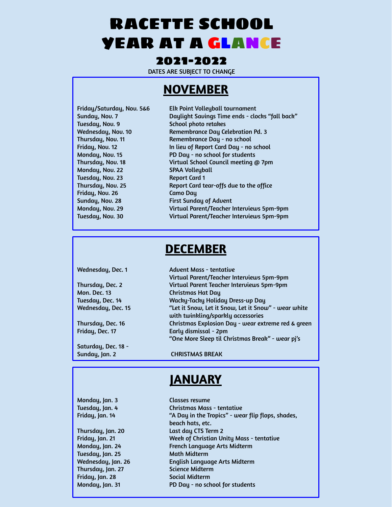# RACETTE SCHOOL YEAR AT A GLANCE

#### 2021-2022

DATES ARE SUBJECT TO CHANGE

## **NOVEMBER**

| Friday/Saturday, Nov. 56 |
|--------------------------|
| Sunday, Nov. 7           |
| Tuesday, Nov. 9          |
| Wednesday, Nov. 10       |
| Thursday, Nov. 11        |
| Friday, Nov. 12          |
| Monday, Nov. 15          |
| Thursday, Nov. 18        |
| Monday, Nov. 22          |
| Tuesday, Nov. 23         |
| Thursday, Nov. 25        |
| Friday, Nov. 26          |
| Sunday, Nov. 28          |
| Monday, Nov. 29          |
| Tuesday, Nov. 30         |
|                          |

 $$6$  Elk Point Volleyball tournament Daylight Savings Time ends - clocks "fall back" School photo retakes Remembrance Day Celebration Pd. 3 Remembrance Day - no school In lieu of Report Card Day - no school PD Day - no school for students Virtual School Council meeting @ 7pm SPAA Volleyball Report Card 1 Report Card tear-offs due to the office Camo Day First Sunday of Advent Virtual Parent/Teacher Interviews 5pm-9pm Virtual Parent/Teacher Interviews 5pm-9pm

## **DECEMBER**

| Wednesday, Dec. 1   | <b>Advent Mass - tentative</b>                                                             |
|---------------------|--------------------------------------------------------------------------------------------|
|                     | Virtual Parent/Teacher Interviews 5pm-9pm                                                  |
| Thursday, Dec. 2    | Virtual Parent Teacher Interviews 5pm-9pm                                                  |
| <b>Mon. Dec. 13</b> | <b>Christmas Hat Day</b>                                                                   |
| Tuesday, Dec. 14    | Wacky-Tacky Holiday Dress-up Day                                                           |
| Wednesday, Dec. 15  | "Let it Snow, Let it Snow, Let it Snow" - wear white<br>with twinkling/sparkly accessories |
| Thursday, Dec. 16   | Christmas Explosion Day - wear extreme red & green                                         |
| Friday, Dec. 17     | Early dismissal - 2pm                                                                      |
|                     | "One More Sleep til Christmas Break" - wear pj's                                           |
| Saturday, Dec. 18 - |                                                                                            |

Sunday, Jan. 2 CHRISTMAS BREAK

## **JANUARY**

Thursday, Jan. 20 Last day CTS Term 2 Tuesday, Jan. 25 Math Midterm Thursday, Jan. 27 Science Midterm Friday, Jan. 28 Social Midterm Monday, Jan. 31 PD Day - no school for students

Monday, Jan. 3 Classes resume Tuesday, Jan. 4 Christmas Mass - tentative Friday, Jan. 14 "A Day in the Tropics" - wear flip flops, shades, beach hats, etc. Friday, Jan. 21 Week of Christian Unity Mass - tentative Monday, Jan. 24 French Language Arts Midterm Wednesday, Jan. 26 English Language Arts Midterm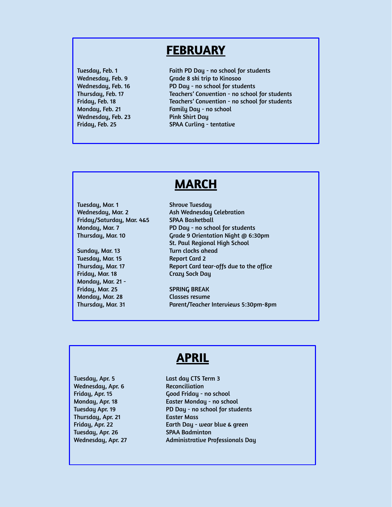### **FEBRUARY**

Wednesday, Feb. 23 Pink Shirt Day

Tuesday, Feb. 1 Faith PD Day - no school for students Wednesday, Feb. 9 Grade 8 ski trip to Kinosoo Wednesday, Feb. 16 PD Day - no school for students Thursday, Feb. 17 Teachers' Convention - no school for students Friday, Feb. 18 Teachers' Convention - no school for students Monday, Feb. 21 Family Day - no school Friday, Feb. 25 SPAA Curling - tentative

## **MARCH**

Tuesday, Mar. 1 Shrove Tuesday Friday/Saturday, Mar. 4&5 SPAA Basketball

Tuesday, Mar. 15 Report Card 2 Friday, Mar. 18 Crazy Sock Day Monday, Mar. 21 - Friday, Mar. 25 SPRING BREAK Monday, Mar. 28 Classes resume

Wednesday, Mar. 2 Ash Wednesday Celebration Monday, Mar. 7 PD Day - no school for students Thursday, Mar. 10 Grade 9 Orientation Night @ 6:30pm St. Paul Regional High School Sunday, Mar. 13 Turn clocks ahead Thursday, Mar. 17 Report Card tear-offs due to the office

Thursday, Mar. 31 Parent/Teacher Interviews 5:30pm-8pm

## **APRIL**

Tuesday, Apr. 5 Last day CTS Term 3 Wednesday, Apr. 6 Reconciliation Thursday, Apr. 21 Easter Mass Tuesday, Apr. 26 SPAA Badminton

Friday, Apr. 15 Good Friday - no school Monday, Apr. 18 Easter Monday - no school Tuesday Apr. 19 **PD Day - no school for students** Friday, Apr. 22 Earth Day - wear blue & green Wednesday, Apr. 27 Administrative Professionals Day